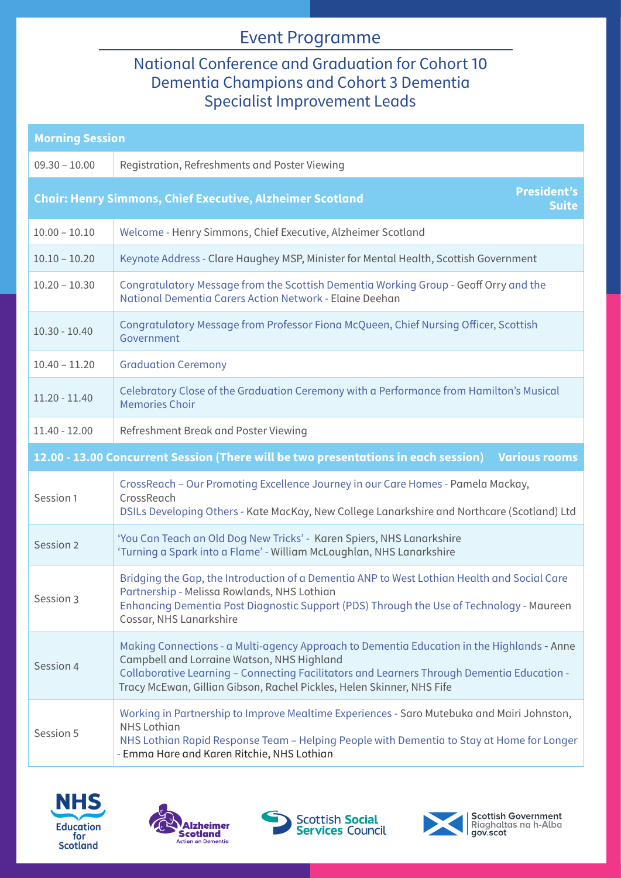## Event Programme

## National Conference and Graduation for Cohort 10 Dementia Champions and Cohort 3 Dementia Specialist Improvement Leads

| <b>Morning Session</b>                                                                                     |                                                                                                                                                                                                                                                                                                                 |  |
|------------------------------------------------------------------------------------------------------------|-----------------------------------------------------------------------------------------------------------------------------------------------------------------------------------------------------------------------------------------------------------------------------------------------------------------|--|
| $09.30 - 10.00$                                                                                            | Registration, Refreshments and Poster Viewing                                                                                                                                                                                                                                                                   |  |
| <b>President's</b><br><b>Chair: Henry Simmons, Chief Executive, Alzheimer Scotland</b><br><b>Suite</b>     |                                                                                                                                                                                                                                                                                                                 |  |
| $10.00 - 10.10$                                                                                            | Welcome - Henry Simmons, Chief Executive, Alzheimer Scotland                                                                                                                                                                                                                                                    |  |
| $10.10 - 10.20$                                                                                            | Keynote Address - Clare Haughey MSP, Minister for Mental Health, Scottish Government                                                                                                                                                                                                                            |  |
| $10.20 - 10.30$                                                                                            | Congratulatory Message from the Scottish Dementia Working Group - Geoff Orry and the<br>National Dementia Carers Action Network - Elaine Deehan                                                                                                                                                                 |  |
| $10.30 - 10.40$                                                                                            | Congratulatory Message from Professor Fiona McQueen, Chief Nursing Officer, Scottish<br>Government                                                                                                                                                                                                              |  |
| $10.40 - 11.20$                                                                                            | <b>Graduation Ceremony</b>                                                                                                                                                                                                                                                                                      |  |
| $11.20 - 11.40$                                                                                            | Celebratory Close of the Graduation Ceremony with a Performance from Hamilton's Musical<br><b>Memories Choir</b>                                                                                                                                                                                                |  |
| $11.40 - 12.00$                                                                                            | Refreshment Break and Poster Viewing                                                                                                                                                                                                                                                                            |  |
| 12.00 - 13.00 Concurrent Session (There will be two presentations in each session)<br><b>Various rooms</b> |                                                                                                                                                                                                                                                                                                                 |  |
| Session 1                                                                                                  | CrossReach - Our Promoting Excellence Journey in our Care Homes - Pamela Mackay,<br>CrossReach<br>DSILs Developing Others - Kate MacKay, New College Lanarkshire and Northcare (Scotland) Ltd                                                                                                                   |  |
| Session 2                                                                                                  | 'You Can Teach an Old Dog New Tricks' - Karen Spiers, NHS Lanarkshire<br>'Turning a Spark into a Flame' - William McLoughlan, NHS Lanarkshire                                                                                                                                                                   |  |
| Session 3                                                                                                  | Bridging the Gap, the Introduction of a Dementia ANP to West Lothian Health and Social Care<br>Partnership - Melissa Rowlands, NHS Lothian<br>Enhancing Dementia Post Diagnostic Support (PDS) Through the Use of Technology - Maureen<br>Cossar, NHS Lanarkshire                                               |  |
| Session 4                                                                                                  | Making Connections - a Multi-agency Approach to Dementia Education in the Highlands - Anne<br>Campbell and Lorraine Watson, NHS Highland<br>Collaborative Learning - Connecting Facilitators and Learners Through Dementia Education -<br>Tracy McEwan, Gillian Gibson, Rachel Pickles, Helen Skinner, NHS Fife |  |
| Session 5                                                                                                  | Working in Partnership to Improve Mealtime Experiences - Saro Mutebuka and Mairi Johnston,<br><b>NHS Lothian</b><br>NHS Lothian Rapid Response Team - Helping People with Dementia to Stay at Home for Longer<br>- Emma Hare and Karen Ritchie, NHS Lothian                                                     |  |